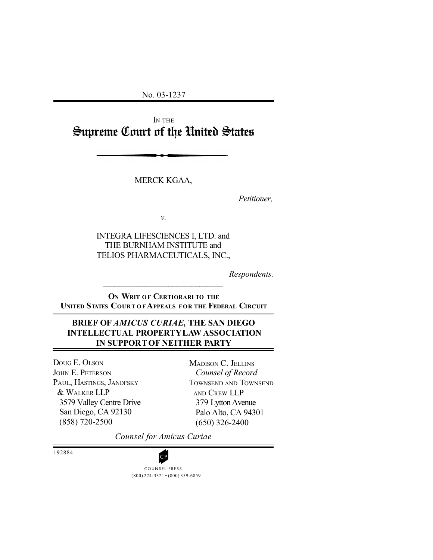No. 03-1237

I<sup>N</sup> THE Supreme Court of the United States

MERCK KGAA,

*Petitioner,*

*v.*

INTEGRA LIFESCIENCES I, LTD. and THE BURNHAM INSTITUTE and TELIOS PHARMACEUTICALS, INC.,

*Respondents.*

**ON WRIT OF CERTIORARI TO THE UNITED STATES COURT O FAPPEALS FOR THE FEDERAL CIRCUIT**

 $\mathcal{L}_\text{max}$ 

# **BRIEF OF** *AMICUS CURIAE***, THE SAN DIEGO INTELLECTUAL PROPERTY LAW ASSOCIATION IN SUPPORT OF NEITHER PARTY**

DOUG E. OLSON JOHN E. PETERSON PAUL, HASTINGS, JANOFSKY & WALKER LLP 3579 Valley Centre Drive San Diego, CA 92130 (858) 720-2500

MADISON C. JELLINS *Counsel of Record* TOWNSEND AND TOWNSEND AND CREW LLP 379 Lytton Avenue Palo Alto, CA 94301 (650) 326-2400

*Counsel for Amicus Curiae*

192884

(800) 274-3321 • (800) 359-6859 **CP**<br>COUNSEL PRESS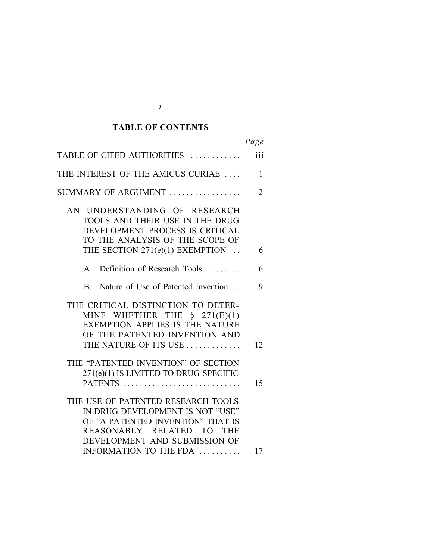#### *Cited Authorities* **TABLE OF CONTENTS**

|                                                                                                                                                                                                               | Page           |
|---------------------------------------------------------------------------------------------------------------------------------------------------------------------------------------------------------------|----------------|
| TABLE OF CITED AUTHORITIES                                                                                                                                                                                    | iii            |
| THE INTEREST OF THE AMICUS CURIAE                                                                                                                                                                             | $\mathbf{1}$   |
| SUMMARY OF ARGUMENT                                                                                                                                                                                           | $\overline{2}$ |
| AN UNDERSTANDING OF RESEARCH<br>TOOLS AND THEIR USE IN THE DRUG<br>DEVELOPMENT PROCESS IS CRITICAL<br>TO THE ANALYSIS OF THE SCOPE OF                                                                         |                |
| THE SECTION 271(e)(1) EXEMPTION                                                                                                                                                                               | 6              |
| Definition of Research Tools<br>$\mathbf{A}$                                                                                                                                                                  | 6              |
| Nature of Use of Patented Invention<br>B.                                                                                                                                                                     | 9              |
| THE CRITICAL DISTINCTION TO DETER-<br>MINE WHETHER THE $\S$ 271(E)(1)<br><b>EXEMPTION APPLIES IS THE NATURE</b><br>OF THE PATENTED INVENTION AND<br>THE NATURE OF ITS USE                                     | 12             |
| THE "PATENTED INVENTION" OF SECTION<br>271(e)(1) IS LIMITED TO DRUG-SPECIFIC                                                                                                                                  | 15             |
| THE USE OF PATENTED RESEARCH TOOLS<br>IN DRUG DEVELOPMENT IS NOT "USE"<br>OF "A PATENTED INVENTION" THAT IS<br>REASONABLY RELATED TO<br><b>THE</b><br>DEVELOPMENT AND SUBMISSION OF<br>INFORMATION TO THE FDA | 17             |

| I       |  |
|---------|--|
|         |  |
| ë<br>۰. |  |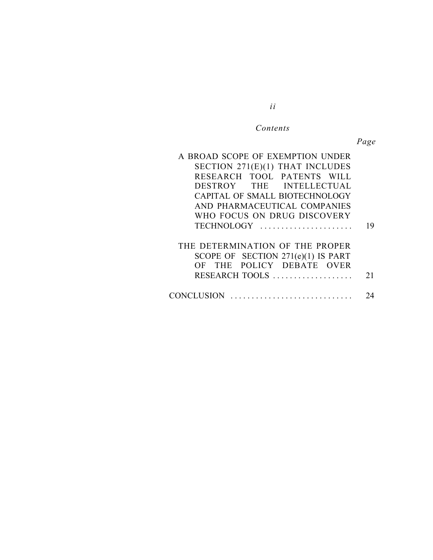#### $Contents$

*ii*

*Page*

| A BROAD SCOPE OF EXEMPTION UNDER<br>SECTION 271(E)(1) THAT INCLUDES<br>RESEARCH TOOL PATENTS WILL                    |    |
|----------------------------------------------------------------------------------------------------------------------|----|
| DESTROY THE INTELLECTUAL                                                                                             |    |
| CAPITAL OF SMALL BIOTECHNOLOGY                                                                                       |    |
| AND PHARMACEUTICAL COMPANIES                                                                                         |    |
| WHO FOCUS ON DRUG DISCOVERY                                                                                          |    |
| TECHNOLOGY                                                                                                           | 19 |
| THE DETERMINATION OF THE PROPER<br>SCOPE OF SECTION 271(e)(1) IS PART<br>OF THE POLICY DEBATE OVER<br>RESEARCH TOOLS | 21 |
| CONCLUSION                                                                                                           |    |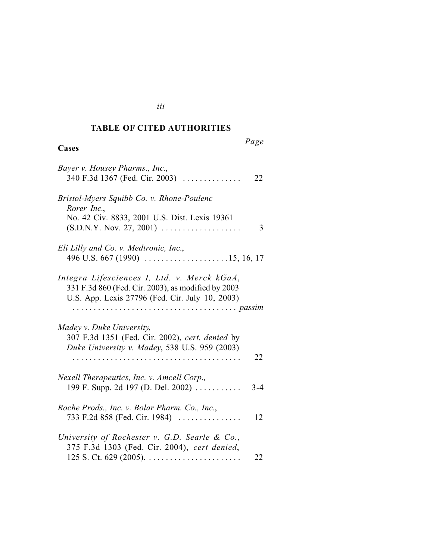#### *Cited Authorities* **TABLE OF CITED AUTHORITIES**

# **Cases**

# *Page*

| Bayer v. Housey Pharms., Inc.,<br>340 F.3d 1367 (Fed. Cir. 2003)<br>22                                                                               |  |
|------------------------------------------------------------------------------------------------------------------------------------------------------|--|
| Bristol-Myers Squibb Co. v. Rhone-Poulenc<br>Rorer Inc.,<br>No. 42 Civ. 8833, 2001 U.S. Dist. Lexis 19361<br>$(S.D.N.Y. Nov. 27, 2001)$<br>3         |  |
| Eli Lilly and Co. v. Medtronic, Inc.,<br>496 U.S. 667 (1990) $\ldots$ 15, 16, 17                                                                     |  |
| Integra Lifesciences I, Ltd. v. Merck kGaA,<br>331 F.3d 860 (Fed. Cir. 2003), as modified by 2003<br>U.S. App. Lexis 27796 (Fed. Cir. July 10, 2003) |  |
| Madey v. Duke University,<br>307 F.3d 1351 (Fed. Cir. 2002), cert. denied by<br>Duke University v. Madey, 538 U.S. 959 (2003)<br>22                  |  |
| Nexell Therapeutics, Inc. v. Amcell Corp.,<br>199 F. Supp. 2d 197 (D. Del. 2002)<br>$3 - 4$                                                          |  |
| Roche Prods., Inc. v. Bolar Pharm. Co., Inc.,<br>733 F.2d 858 (Fed. Cir. 1984)<br>12                                                                 |  |
| University of Rochester v. G.D. Searle & Co.,<br>375 F.3d 1303 (Fed. Cir. 2004), cert denied,<br>22                                                  |  |

*iii*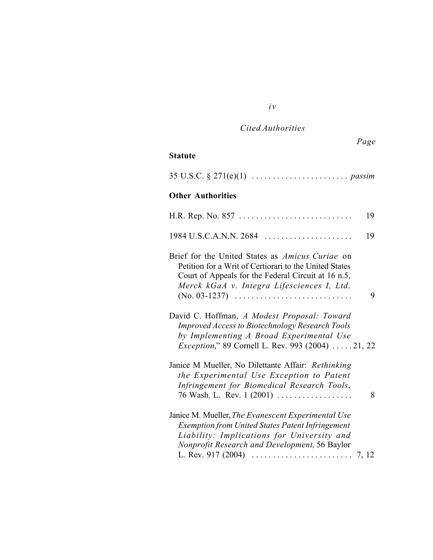| Cited Authorities |  |
|-------------------|--|
|-------------------|--|

|                                                                                                                                                                                                                | Page |
|----------------------------------------------------------------------------------------------------------------------------------------------------------------------------------------------------------------|------|
| <b>Statute</b>                                                                                                                                                                                                 |      |
|                                                                                                                                                                                                                |      |
| <b>Other Authorities</b>                                                                                                                                                                                       |      |
| H.R. Rep. No. 857                                                                                                                                                                                              | 19   |
| $1984 \text{ U.S.C.A.N.N. } 2684$                                                                                                                                                                              | 19   |
| Brief for the United States as Amicus Curiae on<br>Petition for a Writ of Certiorari to the United States<br>Court of Appeals for the Federal Circuit at 16 n.5,<br>Merck kGaA v. Integra Lifesciences I, Ltd. | 9    |
| David C. Hoffman, A Modest Proposal: Toward<br><b>Improved Access to Biotechnology Research Tools</b><br>by Implementing A Broad Experimental Use<br><i>Exception,</i> " 89 Cornell L. Rev. 993 (2004) 21, 22  |      |
| Janice M Mueller, No Dilettante Affair: Rethinking<br>the Experimental Use Exception to Patent<br>Infringement for Biomedical Research Tools,<br>76 Wash. L. Rev. 1 (2001)                                     | 8    |
| Janice M. Mueller, The Evanescent Experimental Use<br><b>Exemption from United States Patent Infringement</b><br>Liability: Implications for University and<br>Nonprofit Research and Development, 56 Baylor   |      |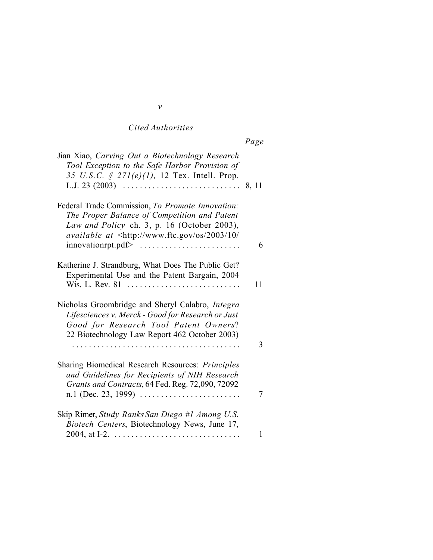# *Cited Authorities*

|--|

| Jian Xiao, Carving Out a Biotechnology Research<br>Tool Exception to the Safe Harbor Provision of<br>35 U.S.C. § $271(e)(1)$ , 12 Tex. Intell. Prop.                                                                                                                                                              |    |
|-------------------------------------------------------------------------------------------------------------------------------------------------------------------------------------------------------------------------------------------------------------------------------------------------------------------|----|
| Federal Trade Commission, To Promote Innovation:<br>The Proper Balance of Competition and Patent<br>Law and Policy ch. 3, p. 16 (October 2003),<br><i>available at</i> $\langle \text{http://www.ftc.gov/os/2003/10/}) \rangle$<br>$\text{innovation}$ rpt.pdf> $\dots \dots \dots \dots \dots \dots \dots \dots$ | 6  |
| Katherine J. Strandburg, What Does The Public Get?<br>Experimental Use and the Patent Bargain, 2004<br>Wis. L. Rev. 81                                                                                                                                                                                            | 11 |
| Nicholas Groombridge and Sheryl Calabro, Integra<br>Lifesciences v. Merck - Good for Research or Just<br>Good for Research Tool Patent Owners?<br>22 Biotechnology Law Report 462 October 2003)                                                                                                                   |    |
|                                                                                                                                                                                                                                                                                                                   | 3  |
| Sharing Biomedical Research Resources: <i>Principles</i><br>and Guidelines for Recipients of NIH Research<br>Grants and Contracts, 64 Fed. Reg. 72,090, 72092                                                                                                                                                     | 7  |
| Skip Rimer, Study Ranks San Diego #1 Among U.S.<br>Biotech Centers, Biotechnology News, June 17,                                                                                                                                                                                                                  | 1  |

*v*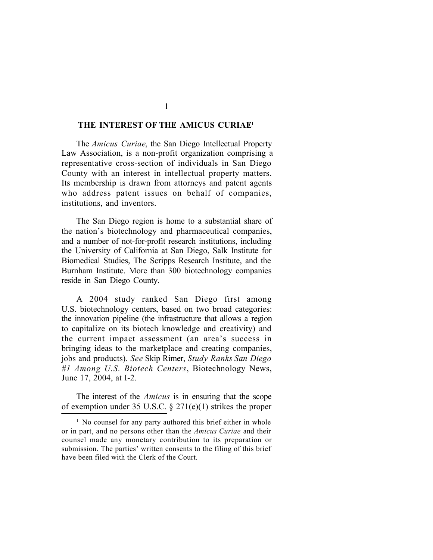#### **THE INTEREST OF THE AMICUS CURIAE**<sup>1</sup>

The *Amicus Curiae*, the San Diego Intellectual Property Law Association, is a non-profit organization comprising a representative cross-section of individuals in San Diego County with an interest in intellectual property matters. Its membership is drawn from attorneys and patent agents who address patent issues on behalf of companies, institutions, and inventors.

The San Diego region is home to a substantial share of the nation's biotechnology and pharmaceutical companies, and a number of not-for-profit research institutions, including the University of California at San Diego, Salk Institute for Biomedical Studies, The Scripps Research Institute, and the Burnham Institute. More than 300 biotechnology companies reside in San Diego County.

A 2004 study ranked San Diego first among U.S. biotechnology centers, based on two broad categories: the innovation pipeline (the infrastructure that allows a region to capitalize on its biotech knowledge and creativity) and the current impact assessment (an area's success in bringing ideas to the marketplace and creating companies, jobs and products). *See* Skip Rimer, *Study Ranks San Diego #1 Among U.S. Biotech Centers*, Biotechnology News, June 17, 2004, at I-2.

The interest of the *Amicus* is in ensuring that the scope of exemption under 35 U.S.C. § 271(e)(1) strikes the proper

<sup>&</sup>lt;sup>1</sup> No counsel for any party authored this brief either in whole or in part, and no persons other than the *Amicus Curiae* and their counsel made any monetary contribution to its preparation or submission. The parties' written consents to the filing of this brief have been filed with the Clerk of the Court.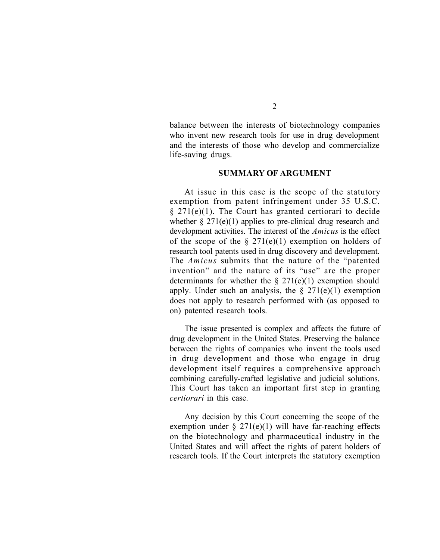balance between the interests of biotechnology companies who invent new research tools for use in drug development and the interests of those who develop and commercialize life-saving drugs.

#### **SUMMARY OF ARGUMENT**

At issue in this case is the scope of the statutory exemption from patent infringement under 35 U.S.C.  $§$  271(e)(1). The Court has granted certiorari to decide whether  $\S 271(e)(1)$  applies to pre-clinical drug research and development activities. The interest of the *Amicus* is the effect of the scope of the  $\S 271(e)(1)$  exemption on holders of research tool patents used in drug discovery and development. The *Amicus* submits that the nature of the "patented invention" and the nature of its "use" are the proper determinants for whether the  $\S 271(e)(1)$  exemption should apply. Under such an analysis, the  $\S 271(e)(1)$  exemption does not apply to research performed with (as opposed to on) patented research tools.

The issue presented is complex and affects the future of drug development in the United States. Preserving the balance between the rights of companies who invent the tools used in drug development and those who engage in drug development itself requires a comprehensive approach combining carefully-crafted legislative and judicial solutions. This Court has taken an important first step in granting *certiorari* in this case.

Any decision by this Court concerning the scope of the exemption under  $\S 271(e)(1)$  will have far-reaching effects on the biotechnology and pharmaceutical industry in the United States and will affect the rights of patent holders of research tools. If the Court interprets the statutory exemption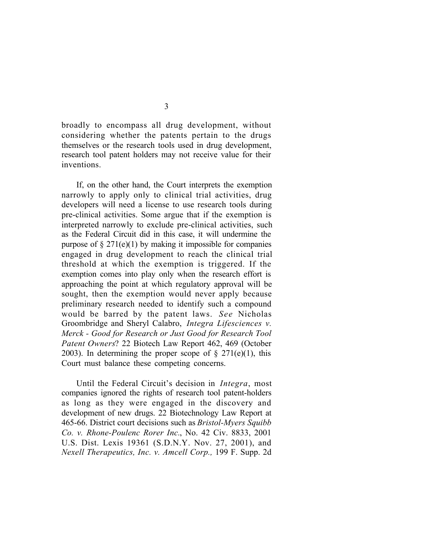broadly to encompass all drug development, without considering whether the patents pertain to the drugs themselves or the research tools used in drug development, research tool patent holders may not receive value for their inventions.

If, on the other hand, the Court interprets the exemption narrowly to apply only to clinical trial activities, drug developers will need a license to use research tools during pre-clinical activities. Some argue that if the exemption is interpreted narrowly to exclude pre-clinical activities, such as the Federal Circuit did in this case, it will undermine the purpose of  $\S 271(e)(1)$  by making it impossible for companies engaged in drug development to reach the clinical trial threshold at which the exemption is triggered. If the exemption comes into play only when the research effort is approaching the point at which regulatory approval will be sought, then the exemption would never apply because preliminary research needed to identify such a compound would be barred by the patent laws. *See* Nicholas Groombridge and Sheryl Calabro, *Integra Lifesciences v. Merck - Good for Research or Just Good for Research Tool Patent Owners*? 22 Biotech Law Report 462, 469 (October 2003). In determining the proper scope of  $\S 271(e)(1)$ , this Court must balance these competing concerns.

Until the Federal Circuit's decision in *Integra*, most companies ignored the rights of research tool patent-holders as long as they were engaged in the discovery and development of new drugs. 22 Biotechnology Law Report at 465-66. District court decisions such as *Bristol-Myers Squibb Co. v. Rhone-Poulenc Rorer Inc.*, No. 42 Civ. 8833, 2001 U.S. Dist. Lexis 19361 (S.D.N.Y. Nov. 27, 2001), and *Nexell Therapeutics, Inc. v. Amcell Corp.,* 199 F. Supp. 2d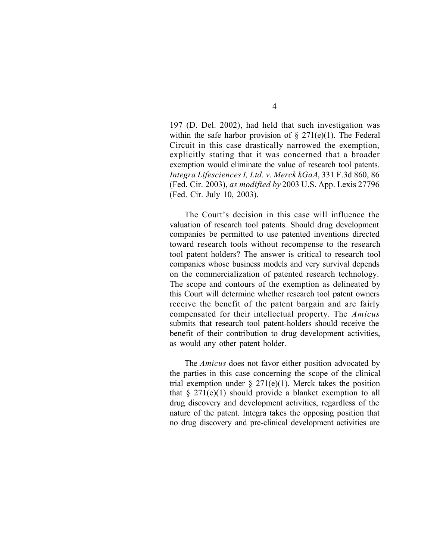197 (D. Del. 2002), had held that such investigation was within the safe harbor provision of  $\S 271(e)(1)$ . The Federal Circuit in this case drastically narrowed the exemption, explicitly stating that it was concerned that a broader exemption would eliminate the value of research tool patents. *Integra Lifesciences I, Ltd. v. Merck kGaA*, 331 F.3d 860, 86 (Fed. Cir. 2003), *as modified by* 2003 U.S. App. Lexis 27796 (Fed. Cir. July 10, 2003).

The Court's decision in this case will influence the valuation of research tool patents. Should drug development companies be permitted to use patented inventions directed toward research tools without recompense to the research tool patent holders? The answer is critical to research tool companies whose business models and very survival depends on the commercialization of patented research technology. The scope and contours of the exemption as delineated by this Court will determine whether research tool patent owners receive the benefit of the patent bargain and are fairly compensated for their intellectual property. The *Amicus* submits that research tool patent-holders should receive the benefit of their contribution to drug development activities, as would any other patent holder.

The *Amicus* does not favor either position advocated by the parties in this case concerning the scope of the clinical trial exemption under  $\S 271(e)(1)$ . Merck takes the position that  $\S 271(e)(1)$  should provide a blanket exemption to all drug discovery and development activities, regardless of the nature of the patent. Integra takes the opposing position that no drug discovery and pre-clinical development activities are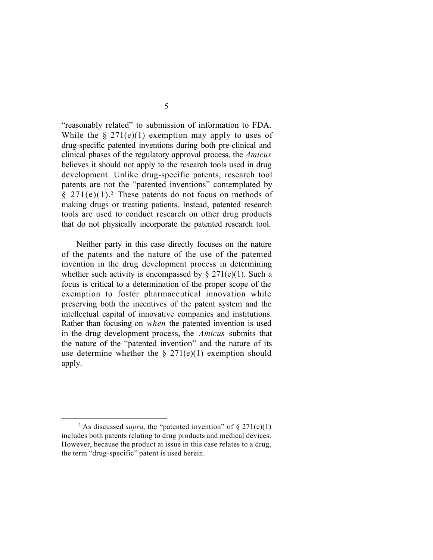"reasonably related" to submission of information to FDA. While the  $\S 271(e)(1)$  exemption may apply to uses of drug-specific patented inventions during both pre-clinical and clinical phases of the regulatory approval process, the *Amicus* believes it should not apply to the research tools used in drug development. Unlike drug-specific patents, research tool patents are not the "patented inventions" contemplated by  $§$  271(e)(1).<sup>2</sup> These patents do not focus on methods of making drugs or treating patients. Instead, patented research tools are used to conduct research on other drug products that do not physically incorporate the patented research tool.

Neither party in this case directly focuses on the nature of the patents and the nature of the use of the patented invention in the drug development process in determining whether such activity is encompassed by  $\S 271(e)(1)$ . Such a focus is critical to a determination of the proper scope of the exemption to foster pharmaceutical innovation while preserving both the incentives of the patent system and the intellectual capital of innovative companies and institutions. Rather than focusing on *when* the patented invention is used in the drug development process, the *Amicus* submits that the nature of the "patented invention" and the nature of its use determine whether the  $\S 271(e)(1)$  exemption should apply.

<sup>&</sup>lt;sup>2</sup> As discussed *supra*, the "patented invention" of  $\S 271(e)(1)$ includes both patents relating to drug products and medical devices. However, because the product at issue in this case relates to a drug, the term "drug-specific" patent is used herein.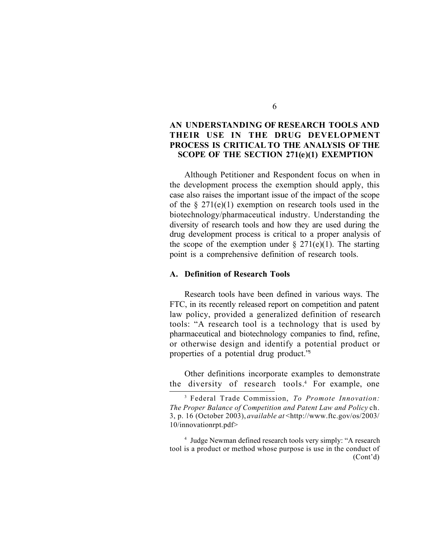## **AN UNDERSTANDING OF RESEARCH TOOLS AND THEIR USE IN THE DRUG DEVELOPMENT PROCESS IS CRITICAL TO THE ANALYSIS OF THE SCOPE OF THE SECTION 271(e)(1) EXEMPTION**

Although Petitioner and Respondent focus on when in the development process the exemption should apply, this case also raises the important issue of the impact of the scope of the  $\S 271(e)(1)$  exemption on research tools used in the biotechnology/pharmaceutical industry. Understanding the diversity of research tools and how they are used during the drug development process is critical to a proper analysis of the scope of the exemption under  $\S 271(e)(1)$ . The starting point is a comprehensive definition of research tools.

#### **A. Definition of Research Tools**

Research tools have been defined in various ways. The FTC, in its recently released report on competition and patent law policy, provided a generalized definition of research tools: "A research tool is a technology that is used by pharmaceutical and biotechnology companies to find, refine, or otherwise design and identify a potential product or properties of a potential drug product."<sup>3</sup>

Other definitions incorporate examples to demonstrate the diversity of research tools.<sup>4</sup> For example, one

<sup>3</sup> Federal Trade Commission, *To Promote Innovation: The Proper Balance of Competition and Patent Law and Policy* ch. 3, p. 16 (October 2003), *available at* <http://www.ftc.gov/os/2003/ 10/innovationrpt.pdf>

<sup>4</sup> Judge Newman defined research tools very simply: "A research tool is a product or method whose purpose is use in the conduct of (Cont'd)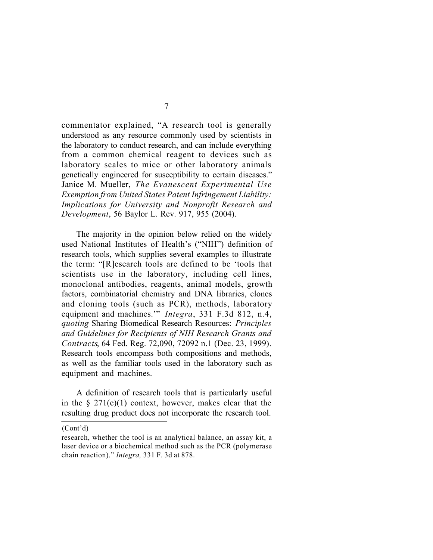commentator explained, "A research tool is generally understood as any resource commonly used by scientists in the laboratory to conduct research, and can include everything from a common chemical reagent to devices such as laboratory scales to mice or other laboratory animals genetically engineered for susceptibility to certain diseases." Janice M. Mueller, *The Evanescent Experimental Use Exemption from United States Patent Infringement Liability: Implications for University and Nonprofit Research and Development*, 56 Baylor L. Rev. 917, 955 (2004).

The majority in the opinion below relied on the widely used National Institutes of Health's ("NIH") definition of research tools, which supplies several examples to illustrate the term: "[R]esearch tools are defined to be 'tools that scientists use in the laboratory, including cell lines, monoclonal antibodies, reagents, animal models, growth factors, combinatorial chemistry and DNA libraries, clones and cloning tools (such as PCR), methods, laboratory equipment and machines.'" *Integra*, 331 F.3d 812, n.4, *quoting* Sharing Biomedical Research Resources: *Principles and Guidelines for Recipients of NIH Research Grants and Contracts*, 64 Fed. Reg. 72,090, 72092 n.1 (Dec. 23, 1999). Research tools encompass both compositions and methods, as well as the familiar tools used in the laboratory such as equipment and machines.

A definition of research tools that is particularly useful in the  $\S 271(e)(1)$  context, however, makes clear that the resulting drug product does not incorporate the research tool.

<sup>(</sup>Cont'd)

research, whether the tool is an analytical balance, an assay kit, a laser device or a biochemical method such as the PCR (polymerase chain reaction)." *Integra,* 331 F. 3d at 878.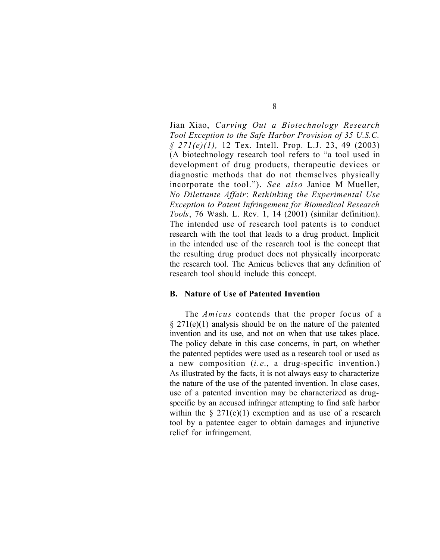Jian Xiao, *Carving Out a Biotechnology Research Tool Exception to the Safe Harbor Provision of 35 U.S.C. § 271(e)(1),* 12 Tex. Intell. Prop. L.J. 23, 49 (2003) (A biotechnology research tool refers to "a tool used in development of drug products, therapeutic devices or diagnostic methods that do not themselves physically incorporate the tool."). *See also* Janice M Mueller, *No Dilettante Affair*: *Rethinking the Experimental Use Exception to Patent Infringement for Biomedical Research Tools*, 76 Wash. L. Rev. 1, 14 (2001) (similar definition). The intended use of research tool patents is to conduct research with the tool that leads to a drug product. Implicit in the intended use of the research tool is the concept that the resulting drug product does not physically incorporate the research tool. The Amicus believes that any definition of research tool should include this concept.

#### **B. Nature of Use of Patented Invention**

The *Amicus* contends that the proper focus of a § 271(e)(1) analysis should be on the nature of the patented invention and its use, and not on when that use takes place. The policy debate in this case concerns, in part, on whether the patented peptides were used as a research tool or used as a new composition (*i.e*., a drug-specific invention.) As illustrated by the facts, it is not always easy to characterize the nature of the use of the patented invention. In close cases, use of a patented invention may be characterized as drugspecific by an accused infringer attempting to find safe harbor within the  $\S 271(e)(1)$  exemption and as use of a research tool by a patentee eager to obtain damages and injunctive relief for infringement.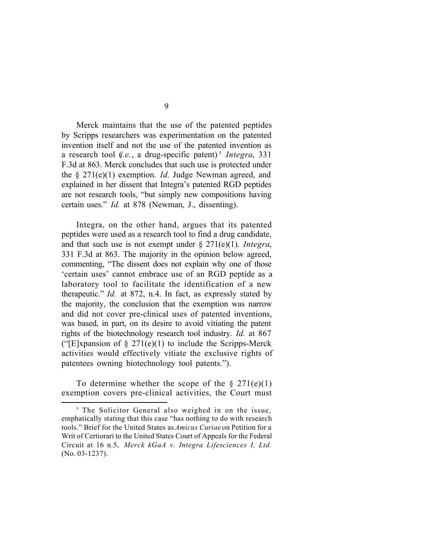Merck maintains that the use of the patented peptides by Scripps researchers was experimentation on the patented invention itself and not the use of the patented invention as a research tool (*i.e.*, a drug-specific patent)<sup>5</sup> *Integra*, 331 F.3d at 863. Merck concludes that such use is protected under the § 271(e)(1) exemption. *Id.* Judge Newman agreed, and explained in her dissent that Integra's patented RGD peptides are not research tools, "but simply new compositions having certain uses." *Id.* at 878 (Newman, J., dissenting).

Integra, on the other hand, argues that its patented peptides were used as a research tool to find a drug candidate, and that such use is not exempt under § 271(e)(1). *Integra*, 331 F.3d at 863. The majority in the opinion below agreed, commenting, "The dissent does not explain why one of those 'certain uses' cannot embrace use of an RGD peptide as a laboratory tool to facilitate the identification of a new therapeutic." *Id.* at 872, n.4. In fact, as expressly stated by the majority, the conclusion that the exemption was narrow and did not cover pre-clinical uses of patented inventions, was based, in part, on its desire to avoid vitiating the patent rights of the biotechnology research tool industry. *Id.* at 867 ("[E]xpansion of  $\S 271(e)(1)$  to include the Scripps-Merck activities would effectively vitiate the exclusive rights of patentees owning biotechnology tool patents.").

To determine whether the scope of the  $\S 271(e)(1)$ exemption covers pre-clinical activities, the Court must

<sup>&</sup>lt;sup>5</sup> The Solicitor General also weighed in on the issue, emphatically stating that this case "has nothing to do with research tools." Brief for the United States as *Amicus Curiae* on Petition for a Writ of Certiorari to the United States Court of Appeals for the Federal Circuit at 16 n.5, *Merck kGaA v. Integra Lifesciences I, Ltd.* (No. 03-1237).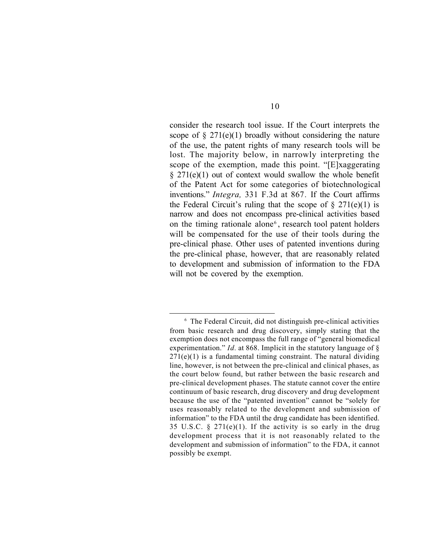consider the research tool issue. If the Court interprets the scope of  $\S 271(e)(1)$  broadly without considering the nature of the use, the patent rights of many research tools will be lost. The majority below, in narrowly interpreting the scope of the exemption, made this point. "[E]xaggerating  $§$  271(e)(1) out of context would swallow the whole benefit of the Patent Act for some categories of biotechnological inventions." *Integra,* 331 F.3d at 867*.* If the Court affirms the Federal Circuit's ruling that the scope of  $\S 271(e)(1)$  is narrow and does not encompass pre-clinical activities based on the timing rationale alone<sup>6</sup>, research tool patent holders will be compensated for the use of their tools during the pre-clinical phase. Other uses of patented inventions during the pre-clinical phase, however, that are reasonably related to development and submission of information to the FDA will not be covered by the exemption.

<sup>6</sup> The Federal Circuit, did not distinguish pre-clinical activities from basic research and drug discovery, simply stating that the exemption does not encompass the full range of "general biomedical experimentation." *Id.* at 868. Implicit in the statutory language of §  $271(e)(1)$  is a fundamental timing constraint. The natural dividing line, however, is not between the pre-clinical and clinical phases, as the court below found, but rather between the basic research and pre-clinical development phases. The statute cannot cover the entire continuum of basic research, drug discovery and drug development because the use of the "patented invention" cannot be "solely for uses reasonably related to the development and submission of information" to the FDA until the drug candidate has been identified. 35 U.S.C.  $\S$  271(e)(1). If the activity is so early in the drug development process that it is not reasonably related to the development and submission of information" to the FDA, it cannot possibly be exempt.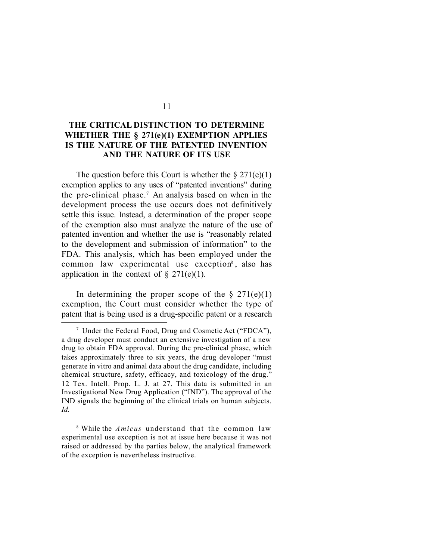# **THE CRITICAL DISTINCTION TO DETERMINE WHETHER THE § 271(e)(1) EXEMPTION APPLIES IS THE NATURE OF THE PATENTED INVENTION AND THE NATURE OF ITS USE**

The question before this Court is whether the  $\S 271(e)(1)$ exemption applies to any uses of "patented inventions" during the pre-clinical phase.<sup>7</sup> An analysis based on when in the development process the use occurs does not definitively settle this issue. Instead, a determination of the proper scope of the exemption also must analyze the nature of the use of patented invention and whether the use is "reasonably related to the development and submission of information" to the FDA. This analysis, which has been employed under the common law experimental use exception<sup>8</sup>, also has application in the context of  $\S$  271(e)(1).

In determining the proper scope of the  $\S 271(e)(1)$ exemption, the Court must consider whether the type of patent that is being used is a drug-specific patent or a research

<sup>7</sup> Under the Federal Food, Drug and Cosmetic Act ("FDCA"), a drug developer must conduct an extensive investigation of a new drug to obtain FDA approval. During the pre-clinical phase, which takes approximately three to six years, the drug developer "must generate in vitro and animal data about the drug candidate, including chemical structure, safety, efficacy, and toxicology of the drug." 12 Tex. Intell. Prop. L. J. at 27. This data is submitted in an Investigational New Drug Application ("IND"). The approval of the IND signals the beginning of the clinical trials on human subjects. *Id.*

<sup>8</sup> While the *Amicus* understand that the common law experimental use exception is not at issue here because it was not raised or addressed by the parties below, the analytical framework of the exception is nevertheless instructive.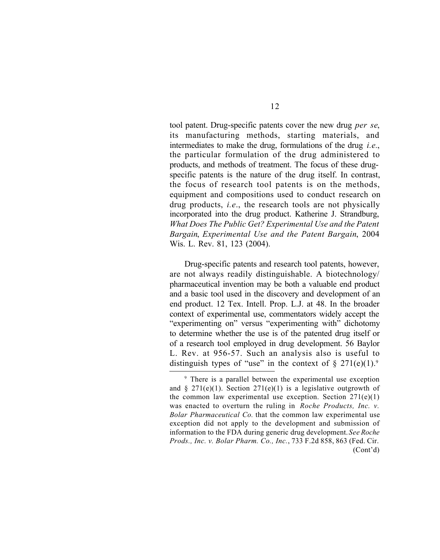tool patent. Drug-specific patents cover the new drug *per se*, its manufacturing methods, starting materials, and intermediates to make the drug, formulations of the drug *i.e.*, the particular formulation of the drug administered to products, and methods of treatment. The focus of these drugspecific patents is the nature of the drug itself. In contrast, the focus of research tool patents is on the methods, equipment and compositions used to conduct research on drug products, *i.e*., the research tools are not physically incorporated into the drug product. Katherine J. Strandburg, *What Does The Public Get? Experimental Use and the Patent Bargain*, *Experimental Use and the Patent Bargain*, 2004 Wis. L. Rev. 81, 123 (2004).

Drug-specific patents and research tool patents, however, are not always readily distinguishable. A biotechnology/ pharmaceutical invention may be both a valuable end product and a basic tool used in the discovery and development of an end product. 12 Tex. Intell. Prop. L.J. at 48. In the broader context of experimental use, commentators widely accept the "experimenting on" versus "experimenting with" dichotomy to determine whether the use is of the patented drug itself or of a research tool employed in drug development. 56 Baylor L. Rev. at 956-57. Such an analysis also is useful to distinguish types of "use" in the context of  $\S 271(e)(1)$ .

<sup>9</sup> There is a parallel between the experimental use exception and § 271(e)(1). Section 271(e)(1) is a legislative outgrowth of the common law experimental use exception. Section  $271(e)(1)$ was enacted to overturn the ruling in *Roche Products, Inc. v. Bolar Pharmaceutical Co.* that the common law experimental use exception did not apply to the development and submission of information to the FDA during generic drug development. *See Roche Prods., Inc. v. Bolar Pharm. Co., Inc.*, 733 F.2d 858, 863 (Fed. Cir. (Cont'd)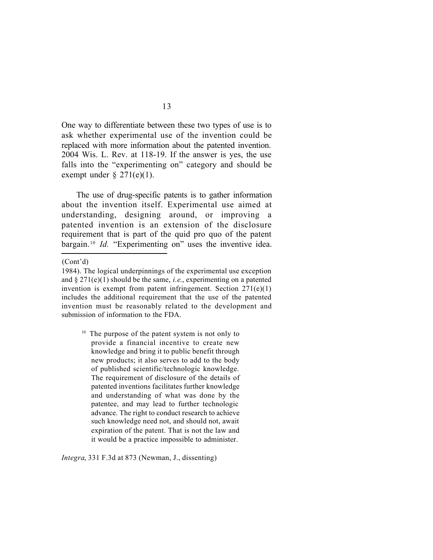One way to differentiate between these two types of use is to ask whether experimental use of the invention could be replaced with more information about the patented invention. 2004 Wis. L. Rev. at 118-19. If the answer is yes, the use falls into the "experimenting on" category and should be exempt under  $\S$  271(e)(1).

The use of drug-specific patents is to gather information about the invention itself. Experimental use aimed at understanding, designing around, or improving a patented invention is an extension of the disclosure requirement that is part of the quid pro quo of the patent bargain.<sup>10</sup> *Id.* "Experimenting on" uses the inventive idea.

(Cont'd)

*Integra*, 331 F.3d at 873 (Newman, J., dissenting)

<sup>1984).</sup> The logical underpinnings of the experimental use exception and § 271(e)(1) should be the same, *i.e*., experimenting on a patented invention is exempt from patent infringement. Section  $271(e)(1)$ includes the additional requirement that the use of the patented invention must be reasonably related to the development and submission of information to the FDA.

 $10$  The purpose of the patent system is not only to provide a financial incentive to create new knowledge and bring it to public benefit through new products; it also serves to add to the body of published scientific/technologic knowledge. The requirement of disclosure of the details of patented inventions facilitates further knowledge and understanding of what was done by the patentee, and may lead to further technologic advance. The right to conduct research to achieve such knowledge need not, and should not, await expiration of the patent. That is not the law and it would be a practice impossible to administer.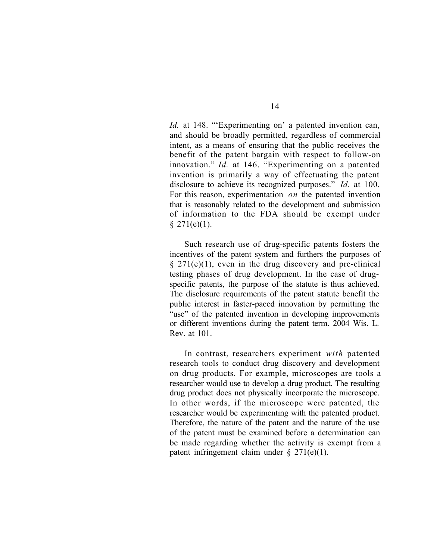*Id.* at 148. "'Experimenting on' a patented invention can, and should be broadly permitted, regardless of commercial intent, as a means of ensuring that the public receives the benefit of the patent bargain with respect to follow-on innovation." *Id.* at 146. "Experimenting on a patented invention is primarily a way of effectuating the patent disclosure to achieve its recognized purposes." *Id.* at 100. For this reason, experimentation *on* the patented invention that is reasonably related to the development and submission of information to the FDA should be exempt under  $§ 271(e)(1).$ 

Such research use of drug-specific patents fosters the incentives of the patent system and furthers the purposes of  $§$  271(e)(1), even in the drug discovery and pre-clinical testing phases of drug development. In the case of drugspecific patents, the purpose of the statute is thus achieved. The disclosure requirements of the patent statute benefit the public interest in faster-paced innovation by permitting the "use" of the patented invention in developing improvements or different inventions during the patent term. 2004 Wis. L. Rev. at 101.

In contrast, researchers experiment *with* patented research tools to conduct drug discovery and development on drug products. For example, microscopes are tools a researcher would use to develop a drug product. The resulting drug product does not physically incorporate the microscope. In other words, if the microscope were patented, the researcher would be experimenting with the patented product. Therefore, the nature of the patent and the nature of the use of the patent must be examined before a determination can be made regarding whether the activity is exempt from a patent infringement claim under § 271(e)(1).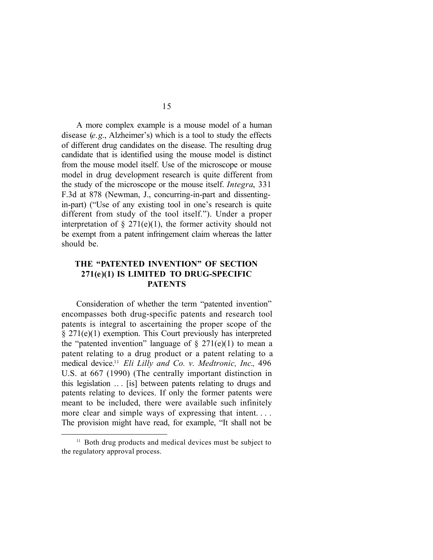A more complex example is a mouse model of a human disease (*e.g*., Alzheimer's) which is a tool to study the effects of different drug candidates on the disease. The resulting drug candidate that is identified using the mouse model is distinct from the mouse model itself. Use of the microscope or mouse model in drug development research is quite different from the study of the microscope or the mouse itself. *Integra*, 331 F.3d at 878 (Newman, J., concurring-in-part and dissentingin-part) ("Use of any existing tool in one's research is quite different from study of the tool itself."). Under a proper interpretation of  $\S$  271(e)(1), the former activity should not be exempt from a patent infringement claim whereas the latter should be.

# **THE "PATENTED INVENTION" OF SECTION 271(e)(1) IS LIMITED TO DRUG-SPECIFIC PATENTS**

Consideration of whether the term "patented invention" encompasses both drug-specific patents and research tool patents is integral to ascertaining the proper scope of the § 271(e)(1) exemption. This Court previously has interpreted the "patented invention" language of  $\S 271(e)(1)$  to mean a patent relating to a drug product or a patent relating to a medical device.<sup>11</sup> *Eli Lilly and Co. v. Medtronic, Inc*.*,* 496 U.S. at 667 (1990) (The centrally important distinction in this legislation .. . [is] between patents relating to drugs and patents relating to devices. If only the former patents were meant to be included, there were available such infinitely more clear and simple ways of expressing that intent.... The provision might have read, for example, "It shall not be

<sup>&</sup>lt;sup>11</sup> Both drug products and medical devices must be subject to the regulatory approval process.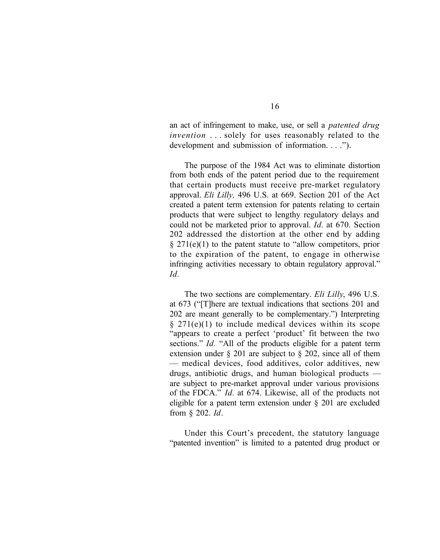an act of infringement to make, use, or sell a *patented drug invention* . . . solely for uses reasonably related to the development and submission of information. . . .").

The purpose of the 1984 Act was to eliminate distortion from both ends of the patent period due to the requirement that certain products must receive pre-market regulatory approval. *Eli Lilly,* 496 U.S. at 669. Section 201 of the Act created a patent term extension for patents relating to certain products that were subject to lengthy regulatory delays and could not be marketed prior to approval. *Id.* at 670. Section 202 addressed the distortion at the other end by adding  $\S 271(e)(1)$  to the patent statute to "allow competitors, prior to the expiration of the patent, to engage in otherwise infringing activities necessary to obtain regulatory approval." *Id.*

The two sections are complementary. *Eli Lilly*, 496 U.S. at 673 ("[T]here are textual indications that sections 201 and 202 are meant generally to be complementary.") Interpreting  $§$  271(e)(1) to include medical devices within its scope "appears to create a perfect 'product' fit between the two sections." *Id.* "All of the products eligible for a patent term extension under § 201 are subject to § 202, since all of them — medical devices, food additives, color additives, new drugs, antibiotic drugs, and human biological products are subject to pre-market approval under various provisions of the FDCA." *Id.* at 674. Likewise, all of the products not eligible for a patent term extension under § 201 are excluded from § 202. *Id*.

Under this Court's precedent, the statutory language "patented invention" is limited to a patented drug product or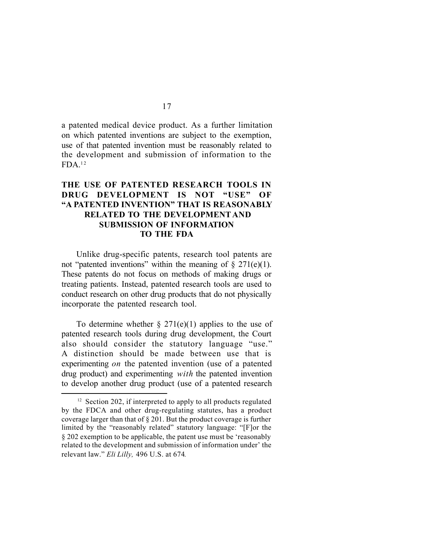a patented medical device product. As a further limitation on which patented inventions are subject to the exemption, use of that patented invention must be reasonably related to the development and submission of information to the  $FDA$ <sup>12</sup>

# **THE USE OF PATENTED RESEARCH TOOLS IN DRUG DEVELOPMENT IS NOT "USE" OF "A PATENTED INVENTION" THAT IS REASONABLY RELATED TO THE DEVELOPMENTAND SUBMISSION OF INFORMATION TO THE FDA**

Unlike drug-specific patents, research tool patents are not "patented inventions" within the meaning of  $\S$  271(e)(1). These patents do not focus on methods of making drugs or treating patients. Instead, patented research tools are used to conduct research on other drug products that do not physically incorporate the patented research tool.

To determine whether  $\S 271(e)(1)$  applies to the use of patented research tools during drug development, the Court also should consider the statutory language "use." A distinction should be made between use that is experimenting *on* the patented invention (use of a patented drug product) and experimenting *with* the patented invention to develop another drug product (use of a patented research

 $12$  Section 202, if interpreted to apply to all products regulated by the FDCA and other drug-regulating statutes, has a product coverage larger than that of § 201. But the product coverage is further limited by the "reasonably related" statutory language: "[F]or the § 202 exemption to be applicable, the patent use must be 'reasonably related to the development and submission of information under' the relevant law." *Eli Lilly,* 496 U.S. at 674*.*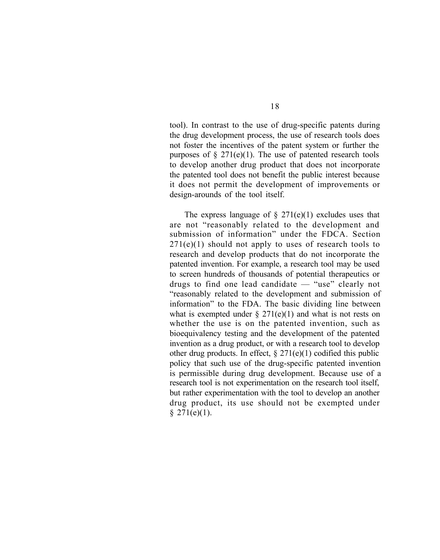tool). In contrast to the use of drug-specific patents during the drug development process, the use of research tools does not foster the incentives of the patent system or further the purposes of  $\S 271(e)(1)$ . The use of patented research tools to develop another drug product that does not incorporate the patented tool does not benefit the public interest because it does not permit the development of improvements or design-arounds of the tool itself.

The express language of  $\S 271(e)(1)$  excludes uses that are not "reasonably related to the development and submission of information" under the FDCA. Section  $271(e)(1)$  should not apply to uses of research tools to research and develop products that do not incorporate the patented invention. For example, a research tool may be used to screen hundreds of thousands of potential therapeutics or drugs to find one lead candidate — "use" clearly not "reasonably related to the development and submission of information" to the FDA. The basic dividing line between what is exempted under  $\S 271(e)(1)$  and what is not rests on whether the use is on the patented invention, such as bioequivalency testing and the development of the patented invention as a drug product, or with a research tool to develop other drug products. In effect,  $\S 271(e)(1)$  codified this public policy that such use of the drug-specific patented invention is permissible during drug development. Because use of a research tool is not experimentation on the research tool itself, but rather experimentation with the tool to develop an another drug product, its use should not be exempted under  $$271(e)(1).$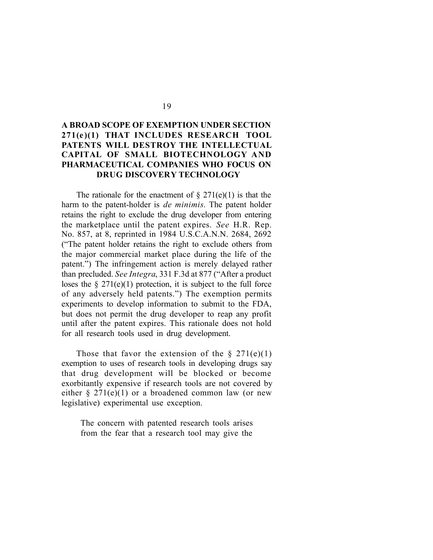# **A BROAD SCOPE OF EXEMPTION UNDER SECTION 271(e )(1) THAT INCLUDES RESEARCH TOOL PATENTS WILL DESTROY THE INTELLECTUAL CAPITAL OF SMALL BIOTECHNOLOGY AND PHARMACEUTICAL COMPANIES WHO FOCUS ON DRUG DISCOVERY TECHNOLOGY**

The rationale for the enactment of  $\S 271(e)(1)$  is that the harm to the patent-holder is *de minimis.* The patent holder retains the right to exclude the drug developer from entering the marketplace until the patent expires. *See* H.R. Rep. No. 857, at 8, reprinted in 1984 U.S.C.A.N.N. 2684, 2692 ("The patent holder retains the right to exclude others from the major commercial market place during the life of the patent.") The infringement action is merely delayed rather than precluded. *See Integra*, 331 F.3d at 877 ("After a product loses the  $\S 271(e)(1)$  protection, it is subject to the full force of any adversely held patents.") The exemption permits experiments to develop information to submit to the FDA, but does not permit the drug developer to reap any profit until after the patent expires. This rationale does not hold for all research tools used in drug development.

Those that favor the extension of the  $\S 271(e)(1)$ exemption to uses of research tools in developing drugs say that drug development will be blocked or become exorbitantly expensive if research tools are not covered by either  $\S 271(e)(1)$  or a broadened common law (or new legislative) experimental use exception.

The concern with patented research tools arises from the fear that a research tool may give the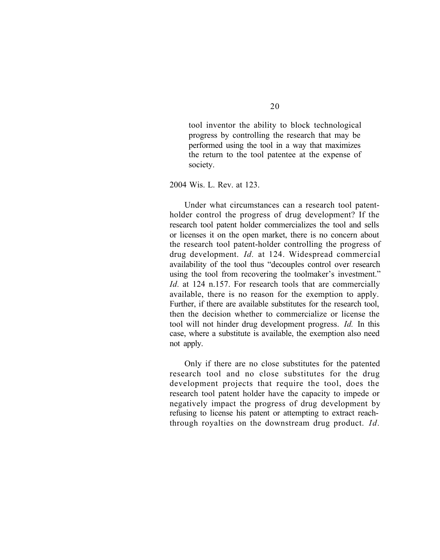tool inventor the ability to block technological progress by controlling the research that may be performed using the tool in a way that maximizes the return to the tool patentee at the expense of society.

2004 Wis. L. Rev. at 123.

Under what circumstances can a research tool patentholder control the progress of drug development? If the research tool patent holder commercializes the tool and sells or licenses it on the open market, there is no concern about the research tool patent-holder controlling the progress of drug development. *Id.* at 124. Widespread commercial availability of the tool thus "decouples control over research using the tool from recovering the toolmaker's investment." *Id.* at 124 n.157. For research tools that are commercially available, there is no reason for the exemption to apply. Further, if there are available substitutes for the research tool, then the decision whether to commercialize or license the tool will not hinder drug development progress. *Id.* In this case, where a substitute is available, the exemption also need not apply.

Only if there are no close substitutes for the patented research tool and no close substitutes for the drug development projects that require the tool, does the research tool patent holder have the capacity to impede or negatively impact the progress of drug development by refusing to license his patent or attempting to extract reachthrough royalties on the downstream drug product. *Id.*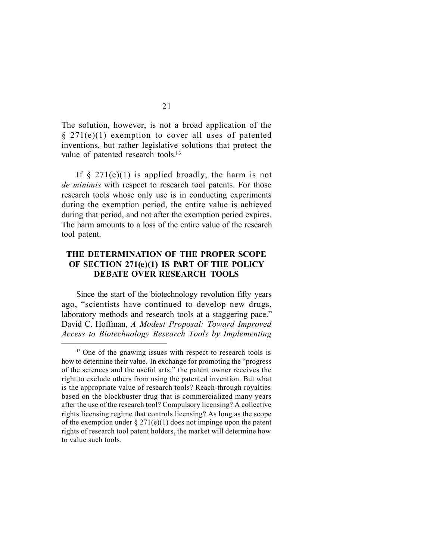The solution, however, is not a broad application of the § 271(e)(1) exemption to cover all uses of patented inventions, but rather legislative solutions that protect the value of patented research tools.<sup>13</sup>

If  $\S$  271(e)(1) is applied broadly, the harm is not *de minimis* with respect to research tool patents. For those research tools whose only use is in conducting experiments during the exemption period, the entire value is achieved during that period, and not after the exemption period expires. The harm amounts to a loss of the entire value of the research tool patent.

### **THE DETERMINATION OF THE PROPER SCOPE OF SECTION 271(e)(1) IS PART OF THE POLICY DEBATE OVER RESEARCH TOOLS**

Since the start of the biotechnology revolution fifty years ago, "scientists have continued to develop new drugs, laboratory methods and research tools at a staggering pace." David C. Hoffman, *A Modest Proposal: Toward Improved Access to Biotechnology Research Tools by Implementing*

<sup>&</sup>lt;sup>13</sup> One of the gnawing issues with respect to research tools is how to determine their value. In exchange for promoting the "progress of the sciences and the useful arts," the patent owner receives the right to exclude others from using the patented invention. But what is the appropriate value of research tools? Reach-through royalties based on the blockbuster drug that is commercialized many years after the use of the research tool? Compulsory licensing? A collective rights licensing regime that controls licensing? As long as the scope of the exemption under  $\S 271(e)(1)$  does not impinge upon the patent rights of research tool patent holders, the market will determine how to value such tools.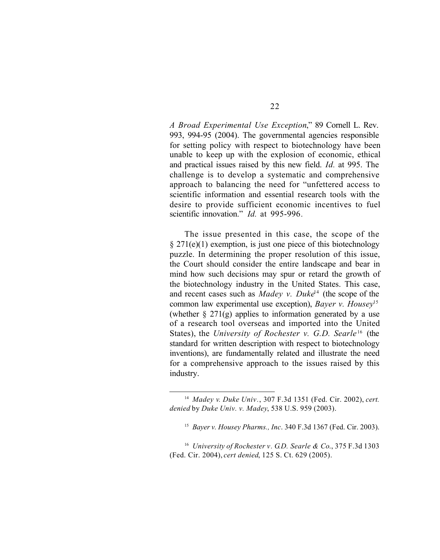*A Broad Experimental Use Exception*," 89 Cornell L. Rev. 993, 994-95 (2004). The governmental agencies responsible for setting policy with respect to biotechnology have been unable to keep up with the explosion of economic, ethical and practical issues raised by this new field. *Id.* at 995. The challenge is to develop a systematic and comprehensive approach to balancing the need for "unfettered access to scientific information and essential research tools with the desire to provide sufficient economic incentives to fuel scientific innovation." *Id.* at 995-996*.*

The issue presented in this case, the scope of the  $\S 271(e)(1)$  exemption, is just one piece of this biotechnology puzzle. In determining the proper resolution of this issue, the Court should consider the entire landscape and bear in mind how such decisions may spur or retard the growth of the biotechnology industry in the United States. This case, and recent cases such as *Madey v. Duke*<sup>14</sup> (the scope of the common law experimental use exception), *Bayer v. Housey*<sup>15</sup> (whether  $\S 271(g)$  applies to information generated by a use of a research tool overseas and imported into the United States), the *University of Rochester v. G.D. Searle*<sup>16</sup> (the standard for written description with respect to biotechnology inventions), are fundamentally related and illustrate the need for a comprehensive approach to the issues raised by this industry.

<sup>14</sup> *Madey v. Duke Univ.*, 307 F.3d 1351 (Fed. Cir. 2002), *cert. denied* by *Duke Univ. v. Madey*, 538 U.S. 959 (2003).

<sup>15</sup> *Bayer v. Housey Pharms., Inc*. 340 F.3d 1367 (Fed. Cir. 2003).

<sup>16</sup> *University of Rochester v. G.D. Searle & Co*., 375 F.3d 1303 (Fed. Cir. 2004), *cert denied*, 125 S. Ct. 629 (2005).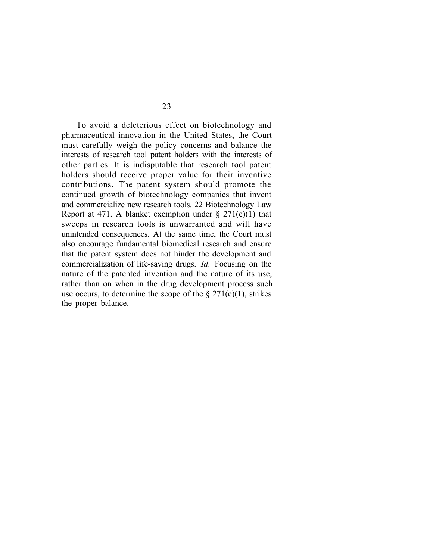To avoid a deleterious effect on biotechnology and pharmaceutical innovation in the United States, the Court must carefully weigh the policy concerns and balance the interests of research tool patent holders with the interests of other parties. It is indisputable that research tool patent holders should receive proper value for their inventive contributions. The patent system should promote the continued growth of biotechnology companies that invent and commercialize new research tools. 22 Biotechnology Law Report at 471. A blanket exemption under  $\S 271(e)(1)$  that sweeps in research tools is unwarranted and will have unintended consequences. At the same time, the Court must also encourage fundamental biomedical research and ensure that the patent system does not hinder the development and commercialization of life-saving drugs. *Id.* Focusing on the nature of the patented invention and the nature of its use, rather than on when in the drug development process such use occurs, to determine the scope of the  $\S 271(e)(1)$ , strikes the proper balance.